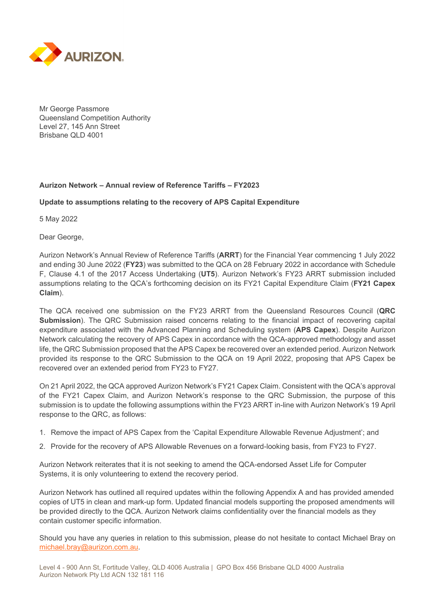

Mr George Passmore Queensland Competition Authority Level 27, 145 Ann Street Brisbane QLD 4001

## **Aurizon Network – Annual review of Reference Tariffs – FY2023**

## **Update to assumptions relating to the recovery of APS Capital Expenditure**

5 May 2022

Dear George,

Aurizon Network's Annual Review of Reference Tariffs (**ARRT**) for the Financial Year commencing 1 July 2022 and ending 30 June 2022 (**FY23**) was submitted to the QCA on 28 February 2022 in accordance with Schedule F, Clause 4.1 of the 2017 Access Undertaking (**UT5**). Aurizon Network's FY23 ARRT submission included assumptions relating to the QCA's forthcoming decision on its FY21 Capital Expenditure Claim (**FY21 Capex Claim**).

The QCA received one submission on the FY23 ARRT from the Queensland Resources Council (**QRC Submission**). The QRC Submission raised concerns relating to the financial impact of recovering capital expenditure associated with the Advanced Planning and Scheduling system (**APS Capex**). Despite Aurizon Network calculating the recovery of APS Capex in accordance with the QCA-approved methodology and asset life, the QRC Submission proposed that the APS Capex be recovered over an extended period. Aurizon Network provided its response to the QRC Submission to the QCA on 19 April 2022, proposing that APS Capex be recovered over an extended period from FY23 to FY27.

On 21 April 2022, the QCA approved Aurizon Network's FY21 Capex Claim. Consistent with the QCA's approval of the FY21 Capex Claim, and Aurizon Network's response to the QRC Submission, the purpose of this submission is to update the following assumptions within the FY23 ARRT in-line with Aurizon Network's 19 April response to the QRC, as follows:

- 1. Remove the impact of APS Capex from the 'Capital Expenditure Allowable Revenue Adjustment'; and
- 2. Provide for the recovery of APS Allowable Revenues on a forward-looking basis, from FY23 to FY27.

Aurizon Network reiterates that it is not seeking to amend the QCA-endorsed Asset Life for Computer Systems, it is only volunteering to extend the recovery period.

Aurizon Network has outlined all required updates within the following Appendix A and has provided amended copies of UT5 in clean and mark-up form. Updated financial models supporting the proposed amendments will be provided directly to the QCA. Aurizon Network claims confidentiality over the financial models as they contain customer specific information.

Should you have any queries in relation to this submission, please do not hesitate to contact Michael Bray on michael.bray@aurizon.com.au.

Level 4 - 900 Ann St, Fortitude Valley, QLD 4006 Australia | GPO Box 456 Brisbane QLD 4000 Australia Aurizon Network Pty Ltd ACN 132 181 116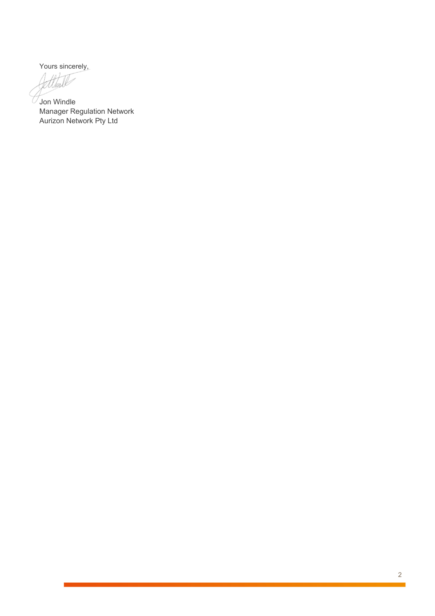Yours sincerely,

ttm

 $\sqrt{\sqrt{2}}$ Jon Windle Manager Regulation Network Aurizon Network Pty Ltd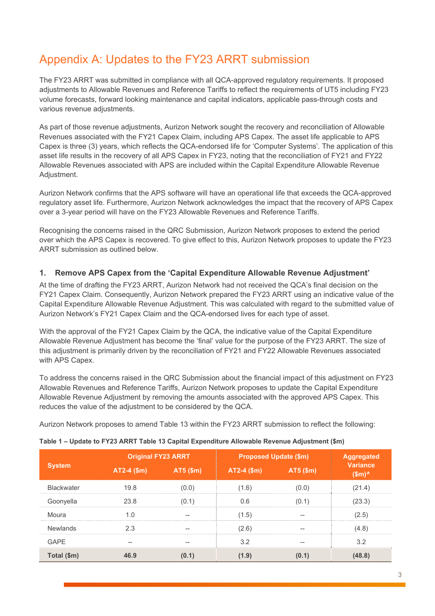# Appendix A: Updates to the FY23 ARRT submission

The FY23 ARRT was submitted in compliance with all QCA-approved regulatory requirements. It proposed adjustments to Allowable Revenues and Reference Tariffs to reflect the requirements of UT5 including FY23 volume forecasts, forward looking maintenance and capital indicators, applicable pass-through costs and various revenue adjustments.

As part of those revenue adjustments, Aurizon Network sought the recovery and reconciliation of Allowable Revenues associated with the FY21 Capex Claim, including APS Capex. The asset life applicable to APS Capex is three (3) years, which reflects the QCA-endorsed life for 'Computer Systems'. The application of this asset life results in the recovery of all APS Capex in FY23, noting that the reconciliation of FY21 and FY22 Allowable Revenues associated with APS are included within the Capital Expenditure Allowable Revenue Adjustment.

Aurizon Network confirms that the APS software will have an operational life that exceeds the QCA-approved regulatory asset life. Furthermore, Aurizon Network acknowledges the impact that the recovery of APS Capex over a 3-year period will have on the FY23 Allowable Revenues and Reference Tariffs.

Recognising the concerns raised in the QRC Submission, Aurizon Network proposes to extend the period over which the APS Capex is recovered. To give effect to this, Aurizon Network proposes to update the FY23 ARRT submission as outlined below.

## **1. Remove APS Capex from the 'Capital Expenditure Allowable Revenue Adjustment'**

At the time of drafting the FY23 ARRT, Aurizon Network had not received the QCA's final decision on the FY21 Capex Claim. Consequently, Aurizon Network prepared the FY23 ARRT using an indicative value of the Capital Expenditure Allowable Revenue Adjustment. This was calculated with regard to the submitted value of Aurizon Network's FY21 Capex Claim and the QCA-endorsed lives for each type of asset.

With the approval of the FY21 Capex Claim by the QCA, the indicative value of the Capital Expenditure Allowable Revenue Adjustment has become the 'final' value for the purpose of the FY23 ARRT. The size of this adjustment is primarily driven by the reconciliation of FY21 and FY22 Allowable Revenues associated with APS Capex.

To address the concerns raised in the QRC Submission about the financial impact of this adjustment on FY23 Allowable Revenues and Reference Tariffs, Aurizon Network proposes to update the Capital Expenditure Allowable Revenue Adjustment by removing the amounts associated with the approved APS Capex. This reduces the value of the adjustment to be considered by the QCA.

Aurizon Network proposes to amend Table 13 within the FY23 ARRT submission to reflect the following:

| <b>System</b>     | <b>Original FY23 ARRT</b> |           | <b>Proposed Update (\$m)</b> | <b>Aggregated</b> |                                  |
|-------------------|---------------------------|-----------|------------------------------|-------------------|----------------------------------|
|                   | AT2-4 (\$m)               | AT5 (\$m) | $AT2-4$ (\$m)                | AT5 (\$m)         | <b>Variance</b><br>$$m^{\prime}$ |
| <b>Blackwater</b> | 19.8                      | (0.0)     | (1.6)                        | (0.0)             | (21.4)                           |
| Goonyella         | 23.8                      | (0.1)     | 0.6                          | (0.1)             | (23.3)                           |
| Moura             | 1.0                       | --        | (1.5)                        | --                | (2.5)                            |
| <b>Newlands</b>   | 2.3                       | --        | (2.6)                        | --                | (4.8)                            |
| <b>GAPE</b>       | --                        | --        | 3.2                          | --                | 3.2                              |
| Total (\$m)       | 46.9                      | (0.1)     | (1.9)                        | (0.1)             | (48.8)                           |

|  | Table 1 - Update to FY23 ARRT Table 13 Capital Expenditure Allowable Revenue Adjustment (\$m) |  |
|--|-----------------------------------------------------------------------------------------------|--|
|  |                                                                                               |  |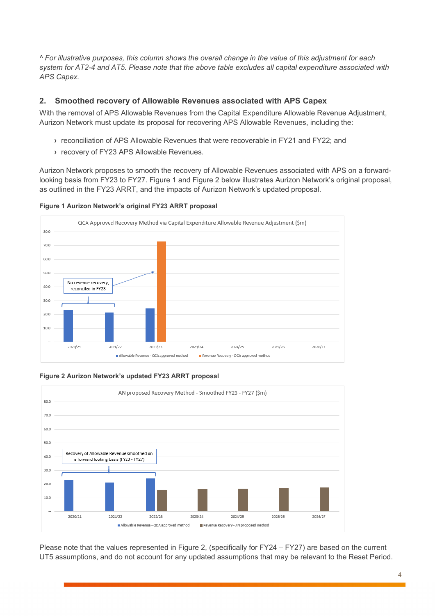*^ For illustrative purposes, this column shows the overall change in the value of this adjustment for each system for AT2-4 and AT5. Please note that the above table excludes all capital expenditure associated with APS Capex.* 

## **2. Smoothed recovery of Allowable Revenues associated with APS Capex**

With the removal of APS Allowable Revenues from the Capital Expenditure Allowable Revenue Adjustment, Aurizon Network must update its proposal for recovering APS Allowable Revenues, including the:

- **›** reconciliation of APS Allowable Revenues that were recoverable in FY21 and FY22; and
- **›** recovery of FY23 APS Allowable Revenues.

Aurizon Network proposes to smooth the recovery of Allowable Revenues associated with APS on a forwardlooking basis from FY23 to FY27. Figure 1 and Figure 2 below illustrates Aurizon Network's original proposal, as outlined in the FY23 ARRT, and the impacts of Aurizon Network's updated proposal.





#### **Figure 2 Aurizon Network's updated FY23 ARRT proposal**



Please note that the values represented in Figure 2, (specifically for FY24 – FY27) are based on the current UT5 assumptions, and do not account for any updated assumptions that may be relevant to the Reset Period.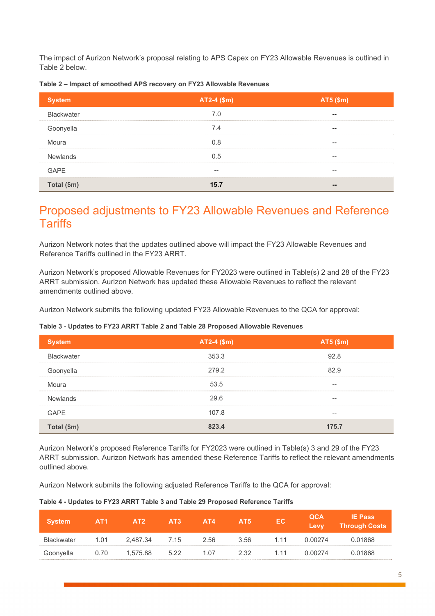The impact of Aurizon Network's proposal relating to APS Capex on FY23 Allowable Revenues is outlined in Table 2 below.

| <b>System</b>     | $AT2-4$ (\$m) | AT5 (\$m) |
|-------------------|---------------|-----------|
| <b>Blackwater</b> | 7.0           | --        |
| Goonyella         | 7.4           | --        |
| Moura             | 0.8           | $- -$     |
| <b>Newlands</b>   | 0.5           | --        |
| <b>GAPE</b>       |               | --        |
| Total (\$m)       | 15.7          | --        |

#### **Table 2 – Impact of smoothed APS recovery on FY23 Allowable Revenues**

## Proposed adjustments to FY23 Allowable Revenues and Reference **Tariffs**

Aurizon Network notes that the updates outlined above will impact the FY23 Allowable Revenues and Reference Tariffs outlined in the FY23 ARRT.

Aurizon Network's proposed Allowable Revenues for FY2023 were outlined in Table(s) 2 and 28 of the FY23 ARRT submission. Aurizon Network has updated these Allowable Revenues to reflect the relevant amendments outlined above.

Aurizon Network submits the following updated FY23 Allowable Revenues to the QCA for approval:

#### **Table 3 - Updates to FY23 ARRT Table 2 and Table 28 Proposed Allowable Revenues**

| <b>System</b>     | AT2-4 (\$m) | AT5 (\$m)                             |
|-------------------|-------------|---------------------------------------|
| <b>Blackwater</b> | 353.3       | 92.8                                  |
| Goonyella         | 279.2       | 82.9                                  |
| Moura             | 53.5        | $- -$                                 |
| <b>Newlands</b>   | 29.6        | $\hspace{0.05cm}$ – $\hspace{0.05cm}$ |
| <b>GAPE</b>       | 107.8       | $\hspace{0.05cm} \cdots$              |
| Total (\$m)       | 823.4       | 175.7                                 |

Aurizon Network's proposed Reference Tariffs for FY2023 were outlined in Table(s) 3 and 29 of the FY23 ARRT submission. Aurizon Network has amended these Reference Tariffs to reflect the relevant amendments outlined above.

Aurizon Network submits the following adjusted Reference Tariffs to the QCA for approval:

#### **Table 4 - Updates to FY23 ARRT Table 3 and Table 29 Proposed Reference Tariffs**

| <b>System</b> | AT <sub>1</sub> | AT2      | AT3  | AT4  | AT <sub>5</sub> | EC.   | <b>QCA</b><br>Levy | <b>IE Pass</b><br><b>Through Costs</b> |
|---------------|-----------------|----------|------|------|-----------------|-------|--------------------|----------------------------------------|
| Blackwater    | 1.01            | 2.487.34 | 7.15 | 2.56 | 3.56            | 1.11  | 0.00274            | 0.01868                                |
| Goonyella     | 0.70            | 1.575.88 | 5.22 | 1.07 | 2.32            | 1 1 1 | 0.00274            | 0.01868                                |